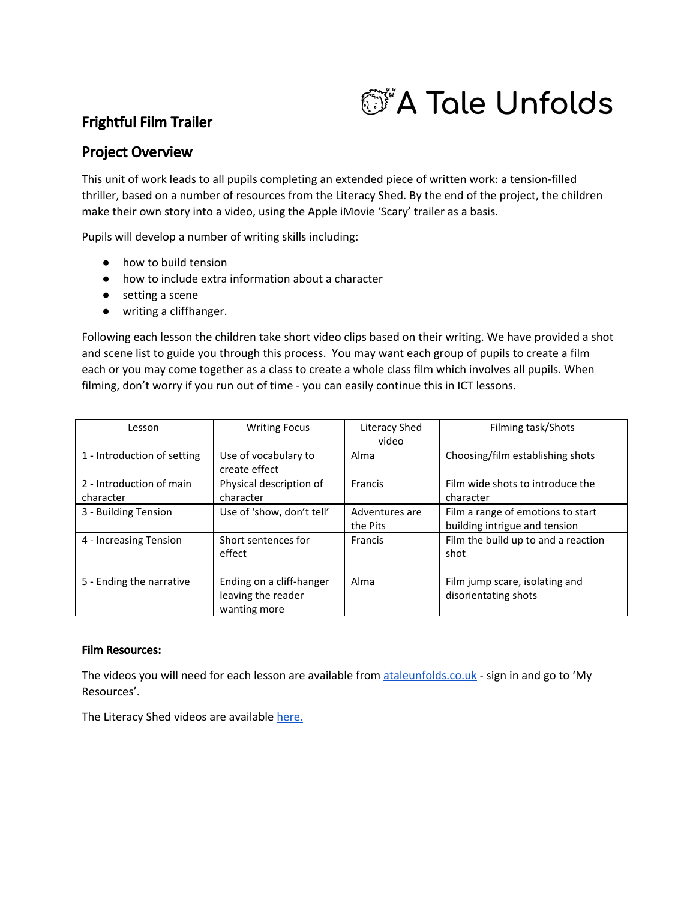# *<b>@\*A Tale Unfolds*

## Frightful Film Trailer

## Project Overview

This unit of work leads to all pupils completing an extended piece of written work: a tension-filled thriller, based on a number of resources from the Literacy Shed. By the end of the project, the children make their own story into a video, using the Apple iMovie 'Scary' trailer as a basis.

Pupils will develop a number of writing skills including:

- how to build tension
- how to include extra information about a character
- setting a scene
- writing a cliffhanger.

Following each lesson the children take short video clips based on their writing. We have provided a shot and scene list to guide you through this process. You may want each group of pupils to create a film each or you may come together as a class to create a whole class film which involves all pupils. When filming, don't worry if you run out of time - you can easily continue this in ICT lessons.

| Lesson                                | <b>Writing Focus</b>                                           | Literacy Shed<br>video     | Filming task/Shots                                                 |
|---------------------------------------|----------------------------------------------------------------|----------------------------|--------------------------------------------------------------------|
| 1 - Introduction of setting           | Use of vocabulary to<br>create effect                          | Alma                       | Choosing/film establishing shots                                   |
| 2 - Introduction of main<br>character | Physical description of<br>character                           | Francis                    | Film wide shots to introduce the<br>character                      |
| 3 - Building Tension                  | Use of 'show, don't tell'                                      | Adventures are<br>the Pits | Film a range of emotions to start<br>building intrigue and tension |
| 4 - Increasing Tension                | Short sentences for<br>effect                                  | Francis                    | Film the build up to and a reaction<br>shot                        |
| 5 - Ending the narrative              | Ending on a cliff-hanger<br>leaving the reader<br>wanting more | Alma                       | Film jump scare, isolating and<br>disorientating shots             |

### Film Resources:

The videos you will need for each lesson are available from [ataleunfolds.co.uk](https://ataleunfolds.co.uk/) - sign in and go to 'My Resources'.

The Literacy Shed videos are available [here.](http://literacyshed.com/frightful-film-trailer-resources.html)